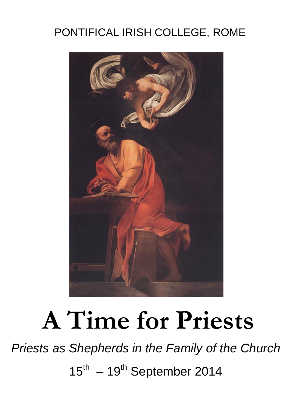## PONTIFICAL IRISH COLLEGE, ROME



## **A Time for Priests**

*Priests as Shepherds in the Family of the Church*  $15^{\text{th}} - 19^{\text{th}}$  September 2014